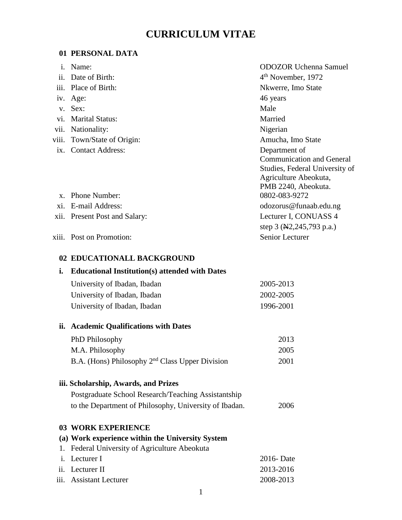# **CURRICULUM VITAE**

# **01 PERSONAL DATA**

| $\mathbf{i}$ . | Name:                         | <b>ODOZOR Uchenna Samuel</b>                                                                                                        |
|----------------|-------------------------------|-------------------------------------------------------------------------------------------------------------------------------------|
| ii.            | Date of Birth:                | 4 <sup>th</sup> November, 1972                                                                                                      |
| iii.           | Place of Birth:               | Nkwerre, Imo State                                                                                                                  |
|                | iv. Age:                      | 46 years                                                                                                                            |
|                | v. Sex:                       | Male                                                                                                                                |
|                | vi. Marital Status:           | Married                                                                                                                             |
| vii.           | Nationality:                  | Nigerian                                                                                                                            |
|                | viii. Town/State of Origin:   | Amucha, Imo State                                                                                                                   |
|                | ix. Contact Address:          | Department of<br><b>Communication and General</b><br>Studies, Federal University of<br>Agriculture Abeokuta,<br>PMB 2240, Abeokuta. |
| $\mathbf{X}$   | <b>Phone Number:</b>          | 0802-083-9272                                                                                                                       |
| xi.            | E-mail Address:               | odozorus@funaab.edu.ng                                                                                                              |
|                | xii. Present Post and Salary: | Lecturer I, CONUASS 4<br>step 3 (N2,245,793 p.a.)                                                                                   |
|                | xiii. Post on Promotion:      | <b>Senior Lecturer</b>                                                                                                              |

# **02 EDUCATIONALL BACKGROUND**

#### **i. Educational Institution(s) attended with Dates**

| University of Ibadan, Ibadan | 2005-2013 |
|------------------------------|-----------|
| University of Ibadan, Ibadan | 2002-2005 |
| University of Ibadan, Ibadan | 1996-2001 |

# **ii. Academic Qualifications with Dates**

| PhD Philosophy                                    | 2013 |
|---------------------------------------------------|------|
| M.A. Philosophy                                   | 2005 |
| B.A. (Hons) Philosophy $2nd$ Class Upper Division | 2001 |

# **iii. Scholarship, Awards, and Prizes**

| Postgraduate School Research/Teaching Assistantship    |      |
|--------------------------------------------------------|------|
| to the Department of Philosophy, University of Ibadan. | 2006 |

# **03 WORK EXPERIENCE**

# **(a) Work experience within the University System**

| 1. Federal University of Agriculture Abeokuta |           |
|-----------------------------------------------|-----------|
| <i>i.</i> Lecturer I                          | 2016 Date |
| ii. Lecturer II                               | 2013-2016 |
| iii. Assistant Lecturer                       | 2008-2013 |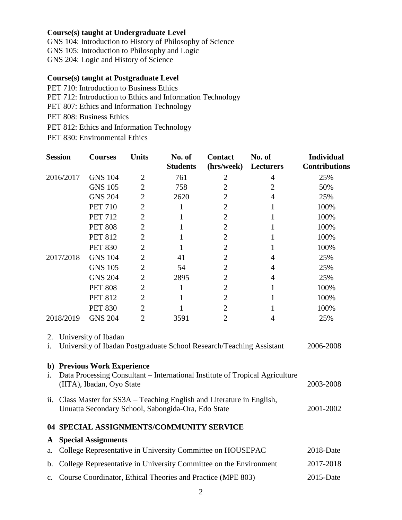# **Course(s) taught at Undergraduate Level**

GNS 104: Introduction to History of Philosophy of Science GNS 105: Introduction to Philosophy and Logic

GNS 204: Logic and History of Science

# **Course(s) taught at Postgraduate Level**

- PET 710: Introduction to Business Ethics
- PET 712: Introduction to Ethics and Information Technology
- PET 807: Ethics and Information Technology
- PET 808: Business Ethics
- PET 812: Ethics and Information Technology
- PET 830: Environmental Ethics

|                                                                                                          | <b>Session</b>                                                                                                                                        | <b>Courses</b>             | <b>Units</b>   | No. of<br><b>Students</b>                | <b>Contact</b><br>(hrs/week) | No. of<br>Lecturers | <b>Individual</b><br><b>Contributions</b> |
|----------------------------------------------------------------------------------------------------------|-------------------------------------------------------------------------------------------------------------------------------------------------------|----------------------------|----------------|------------------------------------------|------------------------------|---------------------|-------------------------------------------|
|                                                                                                          | 2016/2017                                                                                                                                             | <b>GNS 104</b>             | $\overline{2}$ | 761                                      | $\overline{2}$               | 4                   | 25%                                       |
|                                                                                                          |                                                                                                                                                       | <b>GNS 105</b>             | $\overline{2}$ | 758                                      | $\overline{2}$               | $\overline{2}$      | 50%                                       |
|                                                                                                          |                                                                                                                                                       | <b>GNS 204</b>             | $\overline{2}$ | 2620                                     | $\overline{2}$               | $\overline{4}$      | 25%                                       |
|                                                                                                          |                                                                                                                                                       | <b>PET 710</b>             | $\overline{2}$ | 1                                        | $\overline{2}$               | 1                   | 100%                                      |
|                                                                                                          |                                                                                                                                                       | <b>PET 712</b>             | $\overline{2}$ | 1                                        | $\overline{2}$               | 1                   | 100%                                      |
|                                                                                                          |                                                                                                                                                       | <b>PET 808</b>             | $\overline{2}$ | $\mathbf{1}$                             | $\overline{2}$               | $\mathbf{1}$        | 100%                                      |
|                                                                                                          |                                                                                                                                                       | <b>PET 812</b>             | $\overline{c}$ | 1                                        | $\overline{c}$               | 1                   | 100%                                      |
|                                                                                                          |                                                                                                                                                       | <b>PET 830</b>             | $\overline{c}$ | $\mathbf{1}$                             | $\overline{c}$               | 1                   | 100%                                      |
|                                                                                                          | 2017/2018                                                                                                                                             | <b>GNS 104</b>             | $\overline{2}$ | 41                                       | $\overline{2}$               | $\overline{4}$      | 25%                                       |
|                                                                                                          |                                                                                                                                                       | <b>GNS 105</b>             | $\overline{2}$ | 54                                       | $\overline{2}$               | $\overline{4}$      | 25%                                       |
|                                                                                                          |                                                                                                                                                       | <b>GNS 204</b>             | $\overline{c}$ | 2895                                     | $\overline{c}$               | $\overline{4}$      | 25%                                       |
|                                                                                                          |                                                                                                                                                       | <b>PET 808</b>             | $\overline{2}$ | $\mathbf{1}$                             | $\overline{c}$               | 1                   | 100%                                      |
|                                                                                                          |                                                                                                                                                       | <b>PET 812</b>             | $\overline{2}$ | $\mathbf{1}$                             | $\overline{c}$               | 1                   | 100%                                      |
|                                                                                                          |                                                                                                                                                       | <b>PET 830</b>             | $\overline{2}$ | $\mathbf{1}$                             | $\overline{2}$               | 1                   | 100%                                      |
|                                                                                                          | 2018/2019                                                                                                                                             | <b>GNS 204</b>             | $\overline{2}$ | 3591                                     | $\overline{2}$               | 4                   | 25%                                       |
| University of Ibadan<br>2.<br>University of Ibadan Postgraduate School Research/Teaching Assistant<br>i. |                                                                                                                                                       |                            |                |                                          |                              |                     | 2006-2008                                 |
| i.                                                                                                       | b) Previous Work Experience<br>Data Processing Consultant - International Institute of Tropical Agriculture<br>(IITA), Ibadan, Oyo State<br>2003-2008 |                            |                |                                          |                              |                     |                                           |
|                                                                                                          | ii. Class Master for SS3A – Teaching English and Literature in English,<br>Unuatta Secondary School, Sabongida-Ora, Edo State                         |                            |                |                                          |                              |                     | 2001-2002                                 |
|                                                                                                          |                                                                                                                                                       |                            |                | 04 SPECIAL ASSIGNMENTS/COMMUNITY SERVICE |                              |                     |                                           |
| A                                                                                                        |                                                                                                                                                       | <b>Special Assignments</b> |                |                                          |                              |                     |                                           |
| a.                                                                                                       | 2018-Date<br>College Representative in University Committee on HOUSEPAC                                                                               |                            |                |                                          |                              |                     |                                           |
|                                                                                                          | b. College Representative in University Committee on the Environment<br>2017-2018                                                                     |                            |                |                                          |                              |                     |                                           |

c. Course Coordinator, Ethical Theories and Practice (MPE 803) 2015-Date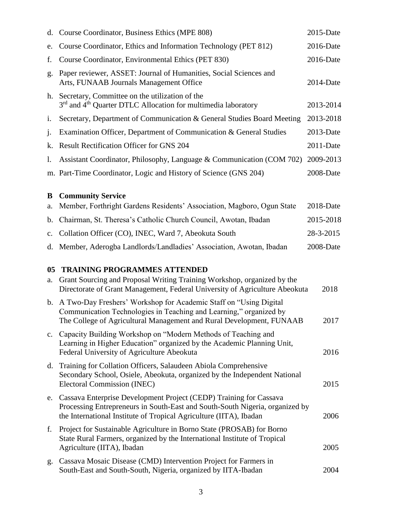| d.             | Course Coordinator, Business Ethics (MPE 808)                                                                                                                                                                            | 2015-Date    |
|----------------|--------------------------------------------------------------------------------------------------------------------------------------------------------------------------------------------------------------------------|--------------|
| e.             | Course Coordinator, Ethics and Information Technology (PET 812)                                                                                                                                                          | 2016-Date    |
| f.             | Course Coordinator, Environmental Ethics (PET 830)                                                                                                                                                                       |              |
| g.             | Paper reviewer, ASSET: Journal of Humanities, Social Sciences and<br>Arts, FUNAAB Journals Management Office                                                                                                             | 2014-Date    |
| h.             | Secretary, Committee on the utilization of the<br>3rd and 4 <sup>th</sup> Quarter DTLC Allocation for multimedia laboratory                                                                                              |              |
| i.             | Secretary, Department of Communication & General Studies Board Meeting                                                                                                                                                   | 2013-2018    |
| j.             | Examination Officer, Department of Communication & General Studies                                                                                                                                                       | 2013-Date    |
| k.             | <b>Result Rectification Officer for GNS 204</b>                                                                                                                                                                          | 2011-Date    |
| $\mathbf{l}$ . | Assistant Coordinator, Philosophy, Language & Communication (COM 702)                                                                                                                                                    | 2009-2013    |
|                | m. Part-Time Coordinator, Logic and History of Science (GNS 204)                                                                                                                                                         | 2008-Date    |
| B<br>a.        | <b>Community Service</b><br>Member, Forthright Gardens Residents' Association, Magboro, Ogun State                                                                                                                       | $2018$ -Date |
| b.             | Chairman, St. Theresa's Catholic Church Council, Awotan, Ibadan                                                                                                                                                          | 2015-2018    |
| c.             | Collation Officer (CO), INEC, Ward 7, Abeokuta South                                                                                                                                                                     | 28-3-2015    |
| d.             | Member, Aderogba Landlords/Landladies' Association, Awotan, Ibadan                                                                                                                                                       | 2008-Date    |
| 05<br>a.       | <b>TRAINING PROGRAMMES ATTENDED</b><br>Grant Sourcing and Proposal Writing Training Workshop, organized by the<br>Directorate of Grant Management, Federal University of Agriculture Abeokuta                            | 2018         |
|                | b. A Two-Day Freshers' Workshop for Academic Staff on "Using Digital<br>Communication Technologies in Teaching and Learning," organized by<br>The College of Agricultural Management and Rural Development, FUNAAB       | 2017         |
| $c_{\cdot}$    | Capacity Building Workshop on "Modern Methods of Teaching and<br>Learning in Higher Education" organized by the Academic Planning Unit,<br>Federal University of Agriculture Abeokuta                                    | 2016         |
| d.             | Training for Collation Officers, Salaudeen Abiola Comprehensive<br>Secondary School, Osiele, Abeokuta, organized by the Independent National<br>Electoral Commission (INEC)                                              | 2015         |
| e.             | Cassava Enterprise Development Project (CEDP) Training for Cassava<br>Processing Entrepreneurs in South-East and South-South Nigeria, organized by<br>the International Institute of Tropical Agriculture (IITA), Ibadan | 2006         |
| f.             | Project for Sustainable Agriculture in Borno State (PROSAB) for Borno<br>State Rural Farmers, organized by the International Institute of Tropical<br>Agriculture (IITA), Ibadan                                         | 2005         |
| g.             | Cassava Mosaic Disease (CMD) Intervention Project for Farmers in<br>South-East and South-South, Nigeria, organized by IITA-Ibadan                                                                                        | 2004         |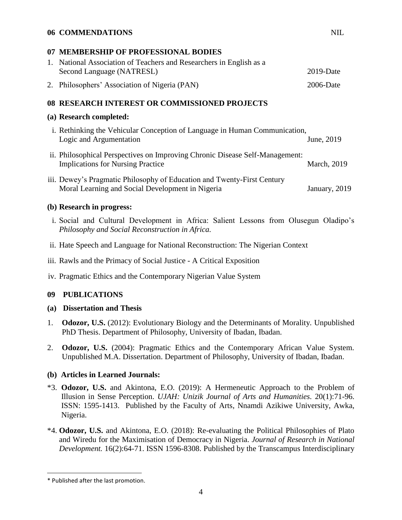# **06 COMMENDATIONS** NIL

#### **07 MEMBERSHIP OF PROFESSIONAL BODIES**

| 1. National Association of Teachers and Researchers in English as a |              |  |  |  |
|---------------------------------------------------------------------|--------------|--|--|--|
| Second Language (NATRESL)                                           | $2019$ -Date |  |  |  |
| 2. Philosophers' Association of Nigeria (PAN)                       | $2006$ -Date |  |  |  |

# **08 RESEARCH INTEREST OR COMMISSIONED PROJECTS**

#### **(a) Research completed:**

- i. Rethinking the Vehicular Conception of Language in Human Communication, Logic and Argumentation June, 2019
- ii. Philosophical Perspectives on Improving Chronic Disease Self-Management: Implications for Nursing Practice March, 2019
- iii. Dewey's Pragmatic Philosophy of Education and Twenty-First Century Moral Learning and Social Development in Nigeria January, 2019

#### **(b) Research in progress:**

- i. Social and Cultural Development in Africa: Salient Lessons from Olusegun Oladipo's *Philosophy and Social Reconstruction in Africa.*
- ii. Hate Speech and Language for National Reconstruction: The Nigerian Context
- iii. Rawls and the Primacy of Social Justice A Critical Exposition
- iv. Pragmatic Ethics and the Contemporary Nigerian Value System

#### **09 PUBLICATIONS**

#### **(a) Dissertation and Thesis**

- 1. **Odozor, U.S.** (2012): Evolutionary Biology and the Determinants of Morality. Unpublished PhD Thesis. Department of Philosophy, University of Ibadan, Ibadan.
- 2. **Odozor, U.S.** (2004): Pragmatic Ethics and the Contemporary African Value System. Unpublished M.A. Dissertation. Department of Philosophy, University of Ibadan, Ibadan.

#### **(b) Articles in Learned Journals:**

- \*3. **Odozor, U.S.** and Akintona, E.O. (2019): A Hermeneutic Approach to the Problem of Illusion in Sense Perception. *UJAH: Unizik Journal of Arts and Humanities.* 20(1):71-96. ISSN: 1595-1413. Published by the Faculty of Arts, Nnamdi Azikiwe University, Awka, Nigeria.
- \*4. **Odozor, U.S.** and Akintona, E.O. (2018): Re-evaluating the Political Philosophies of Plato and Wiredu for the Maximisation of Democracy in Nigeria. *Journal of Research in National Development.* 16(2):64-71. ISSN 1596-8308. Published by the Transcampus Interdisciplinary

 $\overline{\phantom{a}}$ 

<sup>\*</sup> Published after the last promotion.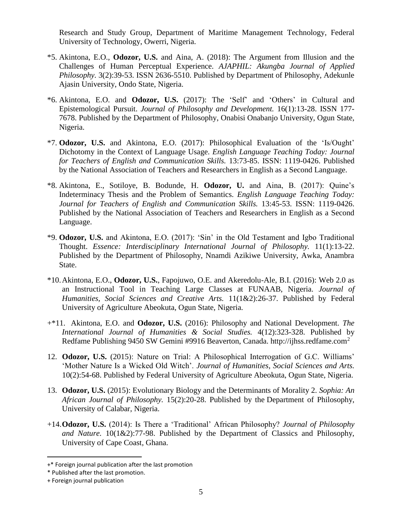Research and Study Group, Department of Maritime Management Technology, Federal University of Technology, Owerri, Nigeria.

- \*5. Akintona, E.O., **Odozor, U.S.** and Aina, A. (2018): The Argument from Illusion and the Challenges of Human Perceptual Experience. *AJAPHIL: Akungba Journal of Applied Philosophy.* 3(2):39-53. ISSN 2636-5510. Published by Department of Philosophy, Adekunle Ajasin University, Ondo State, Nigeria.
- \*6. Akintona, E.O. and **Odozor, U.S.** (2017): The 'Self' and 'Others' in Cultural and Epistemological Pursuit. *Journal of Philosophy and Development.* 16(1):13-28. ISSN 177- 7678. Published by the Department of Philosophy, Onabisi Onabanjo University, Ogun State, Nigeria.
- \*7. **Odozor, U.S.** and Akintona, E.O. (2017): Philosophical Evaluation of the 'Is/Ought' Dichotomy in the Context of Language Usage. *English Language Teaching Today: Journal for Teachers of English and Communication Skills.* 13:73-85. ISSN: 1119-0426. Published by the National Association of Teachers and Researchers in English as a Second Language.
- \*8. Akintona, E., Sotiloye, B. Bodunde, H. **Odozor, U.** and Aina, B. (2017): Quine's Indeterminacy Thesis and the Problem of Semantics. *English Language Teaching Today: Journal for Teachers of English and Communication Skills.* 13:45-53. ISSN: 1119-0426. Published by the National Association of Teachers and Researchers in English as a Second Language.
- \*9. **Odozor, U.S.** and Akintona, E.O. (2017): 'Sin' in the Old Testament and Igbo Traditional Thought. *Essence: Interdisciplinary International Journal of Philosophy.* 11(1):13-22. Published by the Department of Philosophy, Nnamdi Azikiwe University, Awka, Anambra State.
- \*10.Akintona, E.O., **Odozor, U.S.**, Fapojuwo, O.E. and Akeredolu-Ale, B.I. (2016): Web 2.0 as an Instructional Tool in Teaching Large Classes at FUNAAB, Nigeria. *Journal of Humanities, Social Sciences and Creative Arts.* 11(1&2):26-37. Published by Federal University of Agriculture Abeokuta, Ogun State, Nigeria.
- +\*11. Akintona, E.O. and **Odozor, U.S.** (2016): Philosophy and National Development. *The International Journal of Humanities & Social Studies.* 4(12):323-328. Published by Redfame Publishing 9450 SW Gemini #9916 Beaverton, Canada. http://ijhss.redfame.com<sup>2</sup>
- 12. **Odozor, U.S.** (2015): Nature on Trial: A Philosophical Interrogation of G.C. Williams' 'Mother Nature Is a Wicked Old Witch'. *Journal of Humanities, Social Sciences and Arts.* 10(2):54-68. Published by Federal University of Agriculture Abeokuta, Ogun State, Nigeria.
- 13. **Odozor, U.S.** (2015): Evolutionary Biology and the Determinants of Morality 2. *Sophia: An African Journal of Philosophy.* 15(2):20-28. Published by the Department of Philosophy, University of Calabar, Nigeria.
- +14.**Odozor, U.S.** (2014): Is There a 'Traditional' African Philosophy? *Journal of Philosophy and Nature.* 10(1&2):77-98. Published by the Department of Classics and Philosophy, University of Cape Coast, Ghana.

 $\overline{\phantom{a}}$ 

<sup>+\*</sup> Foreign journal publication after the last promotion

<sup>\*</sup> Published after the last promotion.

<sup>+</sup> Foreign journal publication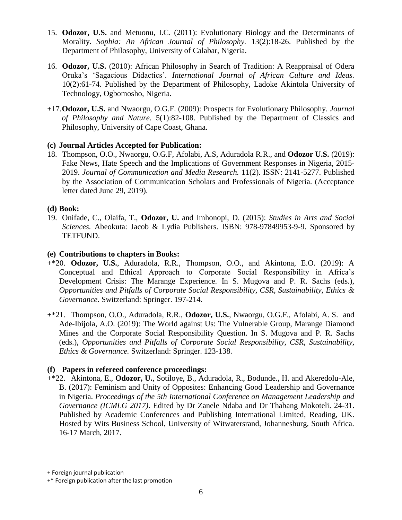- 15. **Odozor, U.S.** and Metuonu, I.C. (2011): Evolutionary Biology and the Determinants of Morality. *Sophia: An African Journal of Philosophy.* 13(2):18-26. Published by the Department of Philosophy, University of Calabar, Nigeria.
- 16. **Odozor, U.S.** (2010): African Philosophy in Search of Tradition: A Reappraisal of Odera Oruka's 'Sagacious Didactics'. *International Journal of African Culture and Ideas.* 10(2):61-74. Published by the Department of Philosophy, Ladoke Akintola University of Technology, Ogbomosho, Nigeria.
- +17.**Odozor, U.S.** and Nwaorgu, O.G.F. (2009): Prospects for Evolutionary Philosophy. *Journal of Philosophy and Nature.* 5(1):82-108. Published by the Department of Classics and Philosophy, University of Cape Coast, Ghana.

# **(c) Journal Articles Accepted for Publication:** 3

18. Thompson, O.O., Nwaorgu, O.G.F, Afolabi, A.S, Aduradola R.R., and **Odozor U.S.** (2019): Fake News, Hate Speech and the Implications of Government Responses in Nigeria, 2015- 2019. *Journal of Communication and Media Research.* 11(2). ISSN: 2141-5277. Published by the Association of Communication Scholars and Professionals of Nigeria. (Acceptance letter dated June 29, 2019).

# **(d) Book:**

19. Onifade, C., Olaifa, T., **Odozor, U.** and Imhonopi, D. (2015): *Studies in Arts and Social Sciences.* Abeokuta: Jacob & Lydia Publishers. ISBN: 978-97849953-9-9. Sponsored by TETFUND.

# **(e) Contributions to chapters in Books:**

- +\*20. **Odozor, U.S.**, Aduradola, R.R., Thompson, O.O., and Akintona, E.O. (2019): A Conceptual and Ethical Approach to Corporate Social Responsibility in Africa's Development Crisis: The Marange Experience. In S. Mugova and P. R. Sachs (eds.), *Opportunities and Pitfalls of Corporate Social Responsibility, CSR, Sustainability, Ethics & Governance*. Switzerland: Springer. 197-214.
- +\*21. Thompson, O.O., Aduradola, R.R., **Odozor, U.S.**, Nwaorgu, O.G.F., Afolabi, A. S. and Ade-Ibijola, A.O. (2019): The World against Us: The Vulnerable Group, Marange Diamond Mines and the Corporate Social Responsibility Question. In S. Mugova and P. R. Sachs (eds.), *Opportunities and Pitfalls of Corporate Social Responsibility, CSR, Sustainability, Ethics & Governance.* Switzerland: Springer. 123-138.

# **(f) Papers in refereed conference proceedings:**

+\*22. Akintona, E., **Odozor, U.**, Sotiloye, B., Aduradola, R., Bodunde., H. and Akeredolu-Ale, B. (2017): Feminism and Unity of Opposites: Enhancing Good Leadership and Governance in Nigeria. *Proceedings of the 5th International Conference on Management Leadership and Governance (ICMLG 2017)*. Edited by Dr Zanele Ndaba and Dr Thabang Mokoteli. 24-31. Published by Academic Conferences and Publishing International Limited, Reading, UK. Hosted by Wits Business School, University of Witwatersrand, Johannesburg, South Africa. 16-17 March, 2017.

l

<sup>+</sup> Foreign journal publication

<sup>+\*</sup> Foreign publication after the last promotion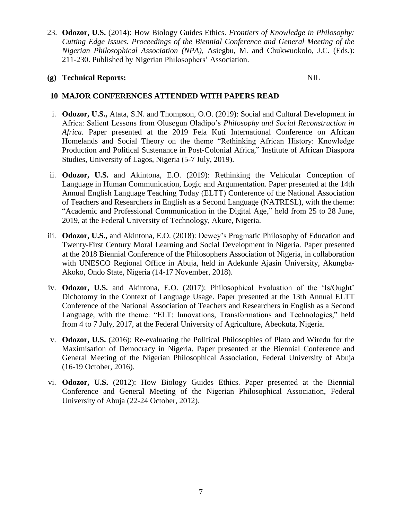23. **Odozor, U.S.** (2014): How Biology Guides Ethics. *Frontiers of Knowledge in Philosophy: Cutting Edge Issues. Proceedings of the Biennial Conference and General Meeting of the Nigerian Philosophical Association (NPA)*, Asiegbu, M. and Chukwuokolo, J.C. (Eds.): 211-230. Published by Nigerian Philosophers' Association.

# **(g) Technical Reports:** NIL

# **10 MAJOR CONFERENCES ATTENDED WITH PAPERS READ**

- i. **Odozor, U.S.,** Atata, S.N. and Thompson, O.O. (2019): Social and Cultural Development in Africa: Salient Lessons from Olusegun Oladipo's *Philosophy and Social Reconstruction in Africa.* Paper presented at the 2019 Fela Kuti International Conference on African Homelands and Social Theory on the theme "Rethinking African History: Knowledge Production and Political Sustenance in Post-Colonial Africa," Institute of African Diaspora Studies, University of Lagos, Nigeria (5-7 July, 2019).
- ii. **Odozor, U.S.** and Akintona, E.O. (2019): Rethinking the Vehicular Conception of Language in Human Communication, Logic and Argumentation. Paper presented at the 14th Annual English Language Teaching Today (ELTT) Conference of the National Association of Teachers and Researchers in English as a Second Language (NATRESL), with the theme: "Academic and Professional Communication in the Digital Age," held from 25 to 28 June, 2019, at the Federal University of Technology, Akure, Nigeria.
- iii. **Odozor, U.S.,** and Akintona, E.O. (2018): Dewey's Pragmatic Philosophy of Education and Twenty-First Century Moral Learning and Social Development in Nigeria. Paper presented at the 2018 Biennial Conference of the Philosophers Association of Nigeria, in collaboration with UNESCO Regional Office in Abuja, held in Adekunle Ajasin University, Akungba-Akoko, Ondo State, Nigeria (14-17 November, 2018).
- iv. **Odozor, U.S.** and Akintona, E.O. (2017): Philosophical Evaluation of the 'Is/Ought' Dichotomy in the Context of Language Usage. Paper presented at the 13th Annual ELTT Conference of the National Association of Teachers and Researchers in English as a Second Language, with the theme: "ELT: Innovations, Transformations and Technologies," held from 4 to 7 July, 2017, at the Federal University of Agriculture, Abeokuta, Nigeria.
- v. **Odozor, U.S.** (2016): Re-evaluating the Political Philosophies of Plato and Wiredu for the Maximisation of Democracy in Nigeria. Paper presented at the Biennial Conference and General Meeting of the Nigerian Philosophical Association, Federal University of Abuja (16-19 October, 2016).
- vi. **Odozor, U.S.** (2012): How Biology Guides Ethics. Paper presented at the Biennial Conference and General Meeting of the Nigerian Philosophical Association, Federal University of Abuja (22-24 October, 2012).